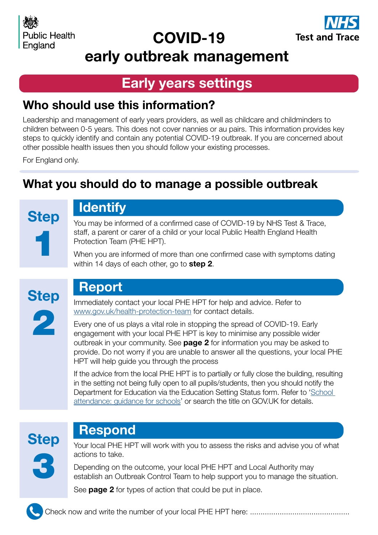## COVID-19



early outbreak management

#### Early years settings

#### Who should use this information?

Leadership and management of early years providers, as well as childcare and childminders to children between 0-5 years. This does not cover nannies or au pairs. This information provides key steps to quickly identify and contain any potential COVID-19 outbreak. If you are concerned about other possible health issues then you should follow your existing processes.

For England only.

### What you should do to manage a possible outbreak

**Step** 1

## **Identify**

You may be informed of a confirmed case of COVID-19 by NHS Test & Trace, staff, a parent or carer of a child or your local Public Health England Health Protection Team (PHE HPT).

When you are informed of more than one confirmed case with symptoms dating within 14 days of each other, go to **step 2**.



### Report

Immediately contact your local PHE HPT for help and advice. Refer to [www.gov.uk/health-protection-team](https://www.gov.uk/health-protection-team) for contact details.

Every one of us plays a vital role in stopping the spread of COVID-19. Early engagement with your local PHE HPT is key to minimise any possible wider outbreak in your community. See **page 2** for information you may be asked to provide. Do not worry if you are unable to answer all the questions, your local PHE HPT will help guide you through the process

If the advice from the local PHE HPT is to partially or fully close the building, resulting in the setting not being fully open to all pupils/students, then you should notify the Department for Education via the Education Setting Status form. Refer to '[School](https://www.gov.uk/government/publications/school-attendance)  [attendance: guidance for schools](https://www.gov.uk/government/publications/school-attendance)' or search the title on GOV.UK for details.

# **Step**

#### Respond

3

Your local PHE HPT will work with you to assess the risks and advise you of what actions to take.

Depending on the outcome, your local PHE HPT and Local Authority may establish an Outbreak Control Team to help support you to manage the situation.

See **page 2** for types of action that could be put in place.